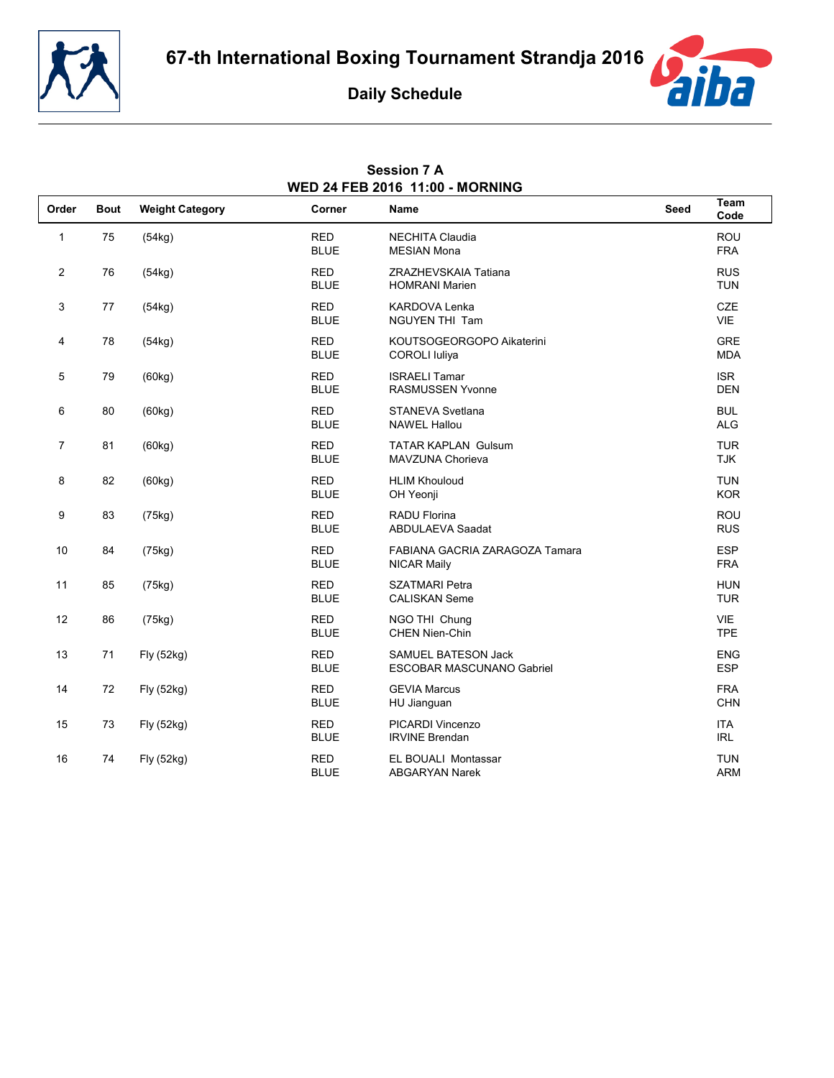





|                | WED 24 FEB 2016 11:00 - MORNING |                        |                           |                                                         |             |                          |  |  |
|----------------|---------------------------------|------------------------|---------------------------|---------------------------------------------------------|-------------|--------------------------|--|--|
| Order          | <b>Bout</b>                     | <b>Weight Category</b> | Corner                    | <b>Name</b>                                             | <b>Seed</b> | Team<br>Code             |  |  |
| $\mathbf{1}$   | 75                              | (54kg)                 | <b>RED</b><br><b>BLUE</b> | <b>NECHITA Claudia</b><br><b>MESIAN Mona</b>            |             | ROU<br><b>FRA</b>        |  |  |
| 2              | 76                              | (54kg)                 | <b>RED</b><br><b>BLUE</b> | ZRAZHEVSKAIA Tatiana<br><b>HOMRANI Marien</b>           |             | <b>RUS</b><br><b>TUN</b> |  |  |
| 3              | 77                              | (54kg)                 | <b>RED</b><br><b>BLUE</b> | <b>KARDOVA Lenka</b><br><b>NGUYEN THI Tam</b>           |             | CZE<br><b>VIE</b>        |  |  |
| 4              | 78                              | (54kg)                 | <b>RED</b><br><b>BLUE</b> | KOUTSOGEORGOPO Aikaterini<br><b>COROLI</b> luliya       |             | <b>GRE</b><br><b>MDA</b> |  |  |
| 5              | 79                              | (60kg)                 | <b>RED</b><br><b>BLUE</b> | <b>ISRAELI Tamar</b><br><b>RASMUSSEN Yvonne</b>         |             | <b>ISR</b><br><b>DEN</b> |  |  |
| 6              | 80                              | (60kg)                 | <b>RED</b><br><b>BLUE</b> | <b>STANEVA Svetlana</b><br><b>NAWEL Hallou</b>          |             | <b>BUL</b><br><b>ALG</b> |  |  |
| $\overline{7}$ | 81                              | (60kg)                 | <b>RED</b><br><b>BLUE</b> | <b>TATAR KAPLAN Gulsum</b><br>MAVZUNA Chorieva          |             | <b>TUR</b><br><b>TJK</b> |  |  |
| 8              | 82                              | (60kg)                 | <b>RED</b><br><b>BLUE</b> | <b>HLIM Khouloud</b><br>OH Yeonji                       |             | <b>TUN</b><br><b>KOR</b> |  |  |
| 9              | 83                              | (75kg)                 | <b>RED</b><br><b>BLUE</b> | <b>RADU Florina</b><br><b>ABDULAEVA Saadat</b>          |             | <b>ROU</b><br><b>RUS</b> |  |  |
| 10             | 84                              | (75kg)                 | <b>RED</b><br><b>BLUE</b> | FABIANA GACRIA ZARAGOZA Tamara<br><b>NICAR Maily</b>    |             | <b>ESP</b><br><b>FRA</b> |  |  |
| 11             | 85                              | (75kg)                 | <b>RED</b><br><b>BLUE</b> | <b>SZATMARI Petra</b><br><b>CALISKAN Seme</b>           |             | <b>HUN</b><br><b>TUR</b> |  |  |
| 12             | 86                              | (75kg)                 | <b>RED</b><br><b>BLUE</b> | NGO THI Chung<br>CHEN Nien-Chin                         |             | <b>VIE</b><br><b>TPE</b> |  |  |
| 13             | 71                              | Fly (52kg)             | <b>RED</b><br><b>BLUE</b> | <b>SAMUEL BATESON Jack</b><br>ESCOBAR MASCUNANO Gabriel |             | <b>ENG</b><br><b>ESP</b> |  |  |
| 14             | 72                              | Fly (52kg)             | <b>RED</b><br><b>BLUE</b> | <b>GEVIA Marcus</b><br>HU Jianguan                      |             | <b>FRA</b><br><b>CHN</b> |  |  |
| 15             | 73                              | Fly (52kg)             | <b>RED</b><br><b>BLUE</b> | PICARDI Vincenzo<br><b>IRVINE Brendan</b>               |             | <b>ITA</b><br><b>IRL</b> |  |  |
| 16             | 74                              | Fly (52kg)             | <b>RED</b><br><b>BLUE</b> | <b>EL BOUALI Montassar</b><br><b>ABGARYAN Narek</b>     |             | <b>TUN</b><br><b>ARM</b> |  |  |

# **Session 7 A**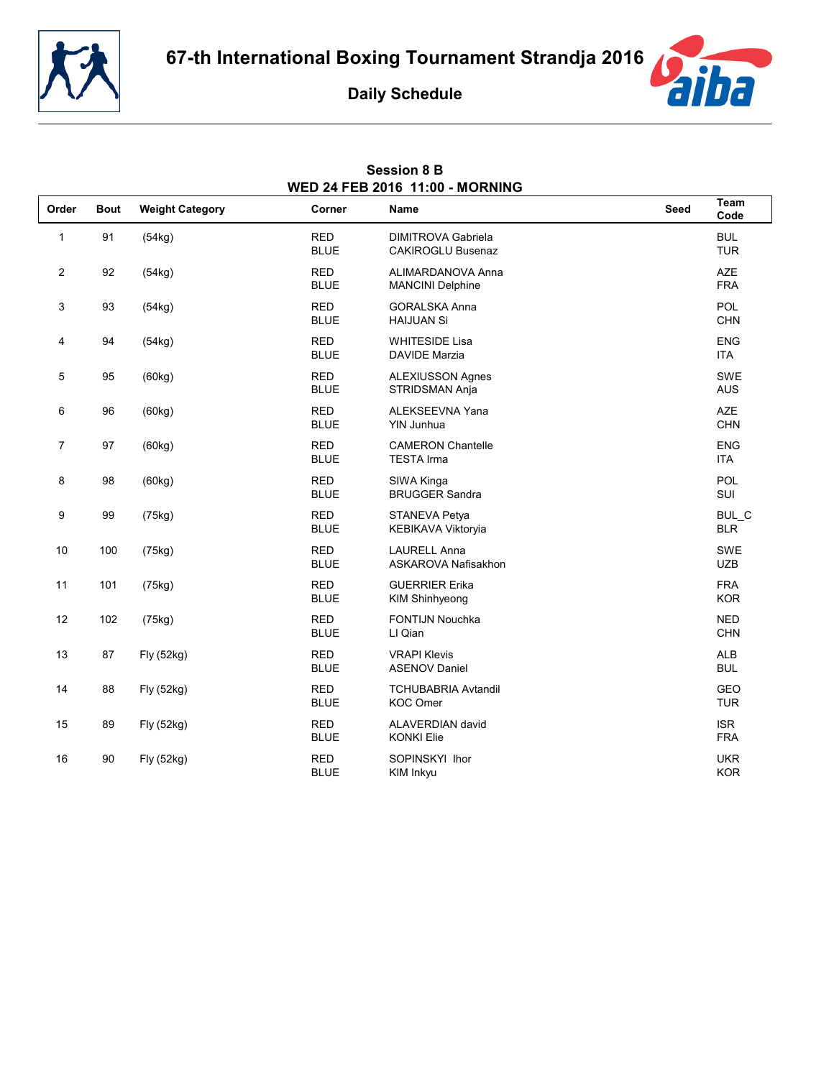



**Session 8 B**



|                | WED 24 FEB 2016 11:00 - MORNING |                        |                           |                                                       |             |                          |  |
|----------------|---------------------------------|------------------------|---------------------------|-------------------------------------------------------|-------------|--------------------------|--|
| Order          | <b>Bout</b>                     | <b>Weight Category</b> | Corner                    | Name                                                  | <b>Seed</b> | Team<br>Code             |  |
| 1              | 91                              | (54kg)                 | <b>RED</b><br><b>BLUE</b> | <b>DIMITROVA Gabriela</b><br><b>CAKIROGLU Busenaz</b> |             | <b>BUL</b><br><b>TUR</b> |  |
| $\overline{c}$ | 92                              | (54kg)                 | <b>RED</b><br><b>BLUE</b> | ALIMARDANOVA Anna<br><b>MANCINI Delphine</b>          |             | <b>AZE</b><br><b>FRA</b> |  |
| 3              | 93                              | (54kg)                 | <b>RED</b><br><b>BLUE</b> | <b>GORALSKA Anna</b><br><b>HAIJUAN Si</b>             |             | <b>POL</b><br><b>CHN</b> |  |
| 4              | 94                              | (54kg)                 | <b>RED</b><br><b>BLUE</b> | <b>WHITESIDE Lisa</b><br><b>DAVIDE Marzia</b>         |             | <b>ENG</b><br><b>ITA</b> |  |
| 5              | 95                              | (60kg)                 | <b>RED</b><br><b>BLUE</b> | <b>ALEXIUSSON Agnes</b><br>STRIDSMAN Anja             |             | <b>SWE</b><br><b>AUS</b> |  |
| 6              | 96                              | (60kg)                 | <b>RED</b><br><b>BLUE</b> | ALEKSEEVNA Yana<br>YIN Junhua                         |             | <b>AZE</b><br><b>CHN</b> |  |
| $\overline{7}$ | 97                              | (60kg)                 | <b>RED</b><br><b>BLUE</b> | <b>CAMERON Chantelle</b><br><b>TESTA Irma</b>         |             | <b>ENG</b><br><b>ITA</b> |  |
| 8              | 98                              | (60kg)                 | <b>RED</b><br><b>BLUE</b> | SIWA Kinga<br><b>BRUGGER Sandra</b>                   |             | POL<br>SUI               |  |
| 9              | 99                              | (75kg)                 | <b>RED</b><br><b>BLUE</b> | STANEVA Petya<br>KEBIKAVA Viktoryia                   |             | BUL_C<br><b>BLR</b>      |  |
| 10             | 100                             | (75kg)                 | <b>RED</b><br><b>BLUE</b> | <b>LAURELL Anna</b><br>ASKAROVA Nafisakhon            |             | <b>SWE</b><br><b>UZB</b> |  |
| 11             | 101                             | (75kg)                 | <b>RED</b><br><b>BLUE</b> | <b>GUERRIER Erika</b><br>KIM Shinhyeong               |             | <b>FRA</b><br><b>KOR</b> |  |
| 12             | 102                             | (75kg)                 | <b>RED</b><br><b>BLUE</b> | FONTIJN Nouchka<br>LI Qian                            |             | <b>NED</b><br><b>CHN</b> |  |
| 13             | 87                              | Fly (52kg)             | <b>RED</b><br><b>BLUE</b> | <b>VRAPI Klevis</b><br><b>ASENOV Daniel</b>           |             | <b>ALB</b><br><b>BUL</b> |  |
| 14             | 88                              | Fly (52kg)             | <b>RED</b><br><b>BLUE</b> | <b>TCHUBABRIA Avtandil</b><br><b>KOC Omer</b>         |             | GEO<br><b>TUR</b>        |  |
| 15             | 89                              | Fly (52kg)             | <b>RED</b><br><b>BLUE</b> | ALAVERDIAN david<br><b>KONKI Elie</b>                 |             | <b>ISR</b><br><b>FRA</b> |  |
| 16             | 90                              | Fly (52kg)             | <b>RED</b><br><b>BLUE</b> | SOPINSKYI Ihor<br>KIM Inkyu                           |             | <b>UKR</b><br><b>KOR</b> |  |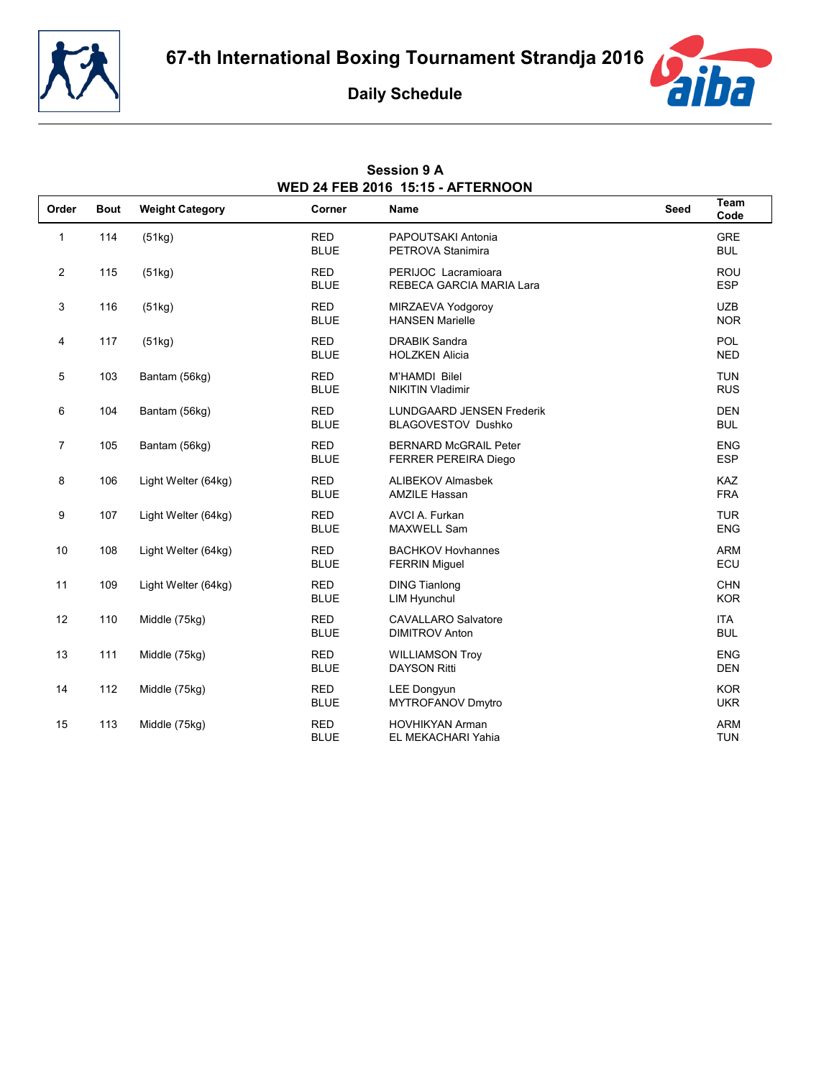

**Session 9 A**



|                | <b>WED 24 FEB 2016 15:15 - AFTERNOON</b> |                        |                           |                                                        |      |                          |  |  |
|----------------|------------------------------------------|------------------------|---------------------------|--------------------------------------------------------|------|--------------------------|--|--|
| Order          | <b>Bout</b>                              | <b>Weight Category</b> | Corner                    | Name                                                   | Seed | Team<br>Code             |  |  |
| 1              | 114                                      | (51kg)                 | <b>RED</b><br><b>BLUE</b> | PAPOUTSAKI Antonia<br>PETROVA Stanimira                |      | <b>GRE</b><br><b>BUL</b> |  |  |
| $\overline{c}$ | 115                                      | (51kg)                 | <b>RED</b><br><b>BLUE</b> | PERIJOC Lacramioara<br>REBECA GARCIA MARIA Lara        |      | <b>ROU</b><br><b>ESP</b> |  |  |
| 3              | 116                                      | (51kg)                 | <b>RED</b><br><b>BLUE</b> | MIRZAEVA Yodgoroy<br><b>HANSEN Marielle</b>            |      | <b>UZB</b><br><b>NOR</b> |  |  |
| 4              | 117                                      | (51kg)                 | <b>RED</b><br><b>BLUE</b> | <b>DRABIK Sandra</b><br><b>HOLZKEN Alicia</b>          |      | <b>POL</b><br><b>NED</b> |  |  |
| 5              | 103                                      | Bantam (56kg)          | <b>RED</b><br><b>BLUE</b> | <b>M'HAMDI Bilel</b><br><b>NIKITIN Vladimir</b>        |      | <b>TUN</b><br><b>RUS</b> |  |  |
| 6              | 104                                      | Bantam (56kg)          | <b>RED</b><br><b>BLUE</b> | <b>LUNDGAARD JENSEN Frederik</b><br>BLAGOVESTOV Dushko |      | <b>DEN</b><br><b>BUL</b> |  |  |
| $\overline{7}$ | 105                                      | Bantam (56kg)          | <b>RED</b><br><b>BLUE</b> | <b>BERNARD McGRAIL Peter</b><br>FERRER PEREIRA Diego   |      | <b>ENG</b><br><b>ESP</b> |  |  |
| 8              | 106                                      | Light Welter (64kg)    | <b>RED</b><br><b>BLUE</b> | ALIBEKOV Almasbek<br><b>AMZILE Hassan</b>              |      | <b>KAZ</b><br><b>FRA</b> |  |  |
| 9              | 107                                      | Light Welter (64kg)    | <b>RED</b><br><b>BLUE</b> | AVCI A. Furkan<br>MAXWELL Sam                          |      | <b>TUR</b><br><b>ENG</b> |  |  |
| 10             | 108                                      | Light Welter (64kg)    | <b>RED</b><br><b>BLUE</b> | <b>BACHKOV Hovhannes</b><br><b>FERRIN Miguel</b>       |      | <b>ARM</b><br>ECU        |  |  |
| 11             | 109                                      | Light Welter (64kg)    | <b>RED</b><br><b>BLUE</b> | <b>DING Tianlong</b><br><b>LIM Hyunchul</b>            |      | <b>CHN</b><br><b>KOR</b> |  |  |
| 12             | 110                                      | Middle (75kg)          | <b>RED</b><br><b>BLUE</b> | <b>CAVALLARO Salvatore</b><br><b>DIMITROV Anton</b>    |      | <b>ITA</b><br><b>BUL</b> |  |  |
| 13             | 111                                      | Middle (75kg)          | <b>RED</b><br><b>BLUE</b> | <b>WILLIAMSON Troy</b><br><b>DAYSON Ritti</b>          |      | <b>ENG</b><br><b>DEN</b> |  |  |
| 14             | 112                                      | Middle (75kg)          | <b>RED</b><br><b>BLUE</b> | LEE Dongyun<br>MYTROFANOV Dmytro                       |      | <b>KOR</b><br><b>UKR</b> |  |  |
| 15             | 113                                      | Middle (75kg)          | <b>RED</b><br><b>BLUE</b> | <b>HOVHIKYAN Arman</b><br>EL MEKACHARI Yahia           |      | <b>ARM</b><br><b>TUN</b> |  |  |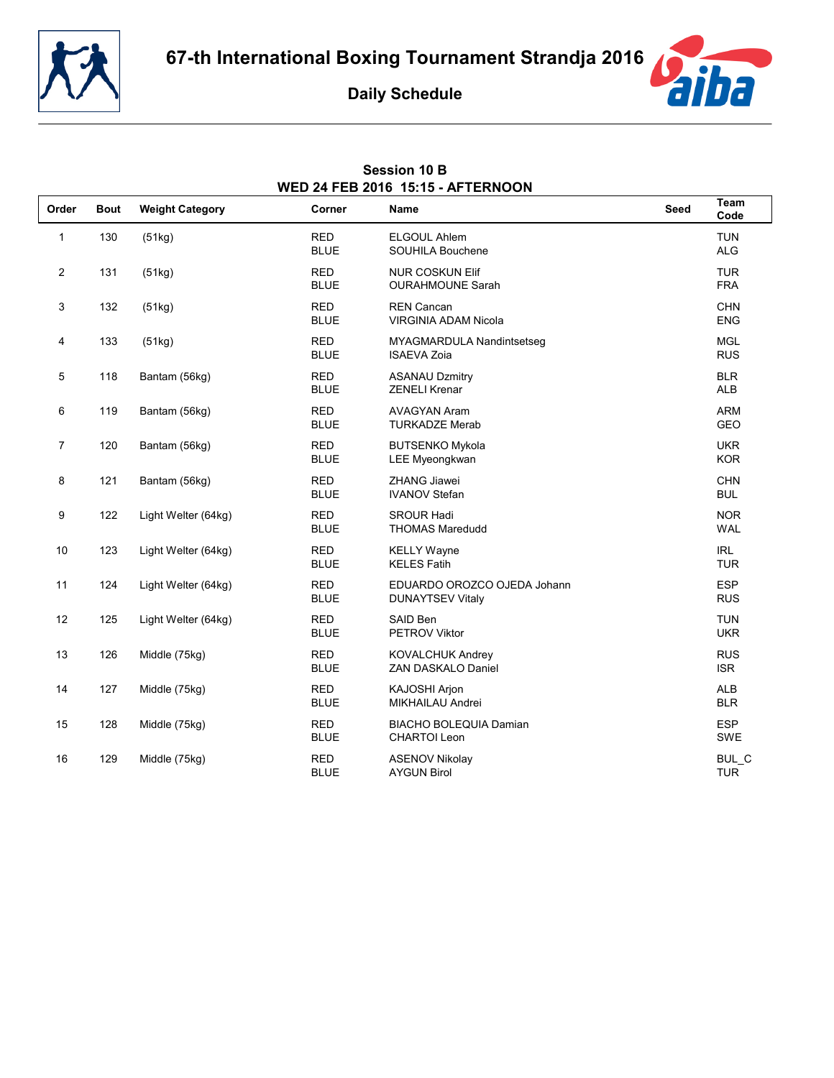



|                | <b>WED 24 FEB 2016 15:15 - AFTERNOON</b> |                        |                           |                                                        |             |                          |  |  |
|----------------|------------------------------------------|------------------------|---------------------------|--------------------------------------------------------|-------------|--------------------------|--|--|
| Order          | <b>Bout</b>                              | <b>Weight Category</b> | Corner                    | <b>Name</b>                                            | <b>Seed</b> | Team<br>Code             |  |  |
| $\mathbf{1}$   | 130                                      | (51kg)                 | <b>RED</b><br><b>BLUE</b> | <b>ELGOUL Ahlem</b><br>SOUHILA Bouchene                |             | <b>TUN</b><br><b>ALG</b> |  |  |
| $\overline{2}$ | 131                                      | (51kg)                 | <b>RED</b><br><b>BLUE</b> | <b>NUR COSKUN Elif</b><br><b>OURAHMOUNE Sarah</b>      |             | <b>TUR</b><br><b>FRA</b> |  |  |
| 3              | 132                                      | (51kg)                 | <b>RED</b><br><b>BLUE</b> | <b>REN Cancan</b><br><b>VIRGINIA ADAM Nicola</b>       |             | <b>CHN</b><br><b>ENG</b> |  |  |
| 4              | 133                                      | (51kg)                 | <b>RED</b><br><b>BLUE</b> | MYAGMARDULA Nandintsetseg<br><b>ISAEVA Zoia</b>        |             | <b>MGL</b><br><b>RUS</b> |  |  |
| 5              | 118                                      | Bantam (56kg)          | <b>RED</b><br><b>BLUE</b> | <b>ASANAU Dzmitry</b><br><b>ZENELI Krenar</b>          |             | <b>BLR</b><br><b>ALB</b> |  |  |
| 6              | 119                                      | Bantam (56kg)          | <b>RED</b><br><b>BLUE</b> | <b>AVAGYAN Aram</b><br><b>TURKADZE Merab</b>           |             | <b>ARM</b><br><b>GEO</b> |  |  |
| $\overline{7}$ | 120                                      | Bantam (56kg)          | <b>RED</b><br><b>BLUE</b> | <b>BUTSENKO Mykola</b><br>LEE Myeongkwan               |             | <b>UKR</b><br><b>KOR</b> |  |  |
| 8              | 121                                      | Bantam (56kg)          | <b>RED</b><br><b>BLUE</b> | <b>ZHANG Jiawei</b><br><b>IVANOV Stefan</b>            |             | <b>CHN</b><br><b>BUL</b> |  |  |
| 9              | 122                                      | Light Welter (64kg)    | <b>RED</b><br><b>BLUE</b> | <b>SROUR Hadi</b><br><b>THOMAS Maredudd</b>            |             | <b>NOR</b><br><b>WAL</b> |  |  |
| 10             | 123                                      | Light Welter (64kg)    | <b>RED</b><br><b>BLUE</b> | <b>KELLY Wayne</b><br><b>KELES Fatih</b>               |             | <b>IRL</b><br><b>TUR</b> |  |  |
| 11             | 124                                      | Light Welter (64kg)    | <b>RED</b><br><b>BLUE</b> | EDUARDO OROZCO OJEDA Johann<br><b>DUNAYTSEV Vitaly</b> |             | <b>ESP</b><br><b>RUS</b> |  |  |
| 12             | 125                                      | Light Welter (64kg)    | <b>RED</b><br><b>BLUE</b> | SAID Ben<br>PETROV Viktor                              |             | <b>TUN</b><br><b>UKR</b> |  |  |
| 13             | 126                                      | Middle (75kg)          | <b>RED</b><br><b>BLUE</b> | <b>KOVALCHUK Andrey</b><br>ZAN DASKALO Daniel          |             | <b>RUS</b><br><b>ISR</b> |  |  |
| 14             | 127                                      | Middle (75kg)          | <b>RED</b><br><b>BLUE</b> | KAJOSHI Arjon<br><b>MIKHAILAU Andrei</b>               |             | <b>ALB</b><br><b>BLR</b> |  |  |
| 15             | 128                                      | Middle (75kg)          | <b>RED</b><br><b>BLUE</b> | <b>BIACHO BOLEQUIA Damian</b><br><b>CHARTOI Leon</b>   |             | <b>ESP</b><br><b>SWE</b> |  |  |
| 16             | 129                                      | Middle (75kg)          | <b>RED</b><br><b>BLUE</b> | <b>ASENOV Nikolay</b><br><b>AYGUN Birol</b>            |             | BUL_C<br><b>TUR</b>      |  |  |

### **Session 10 B WED 24 FEB 2016 15:15 - AFTERNOON**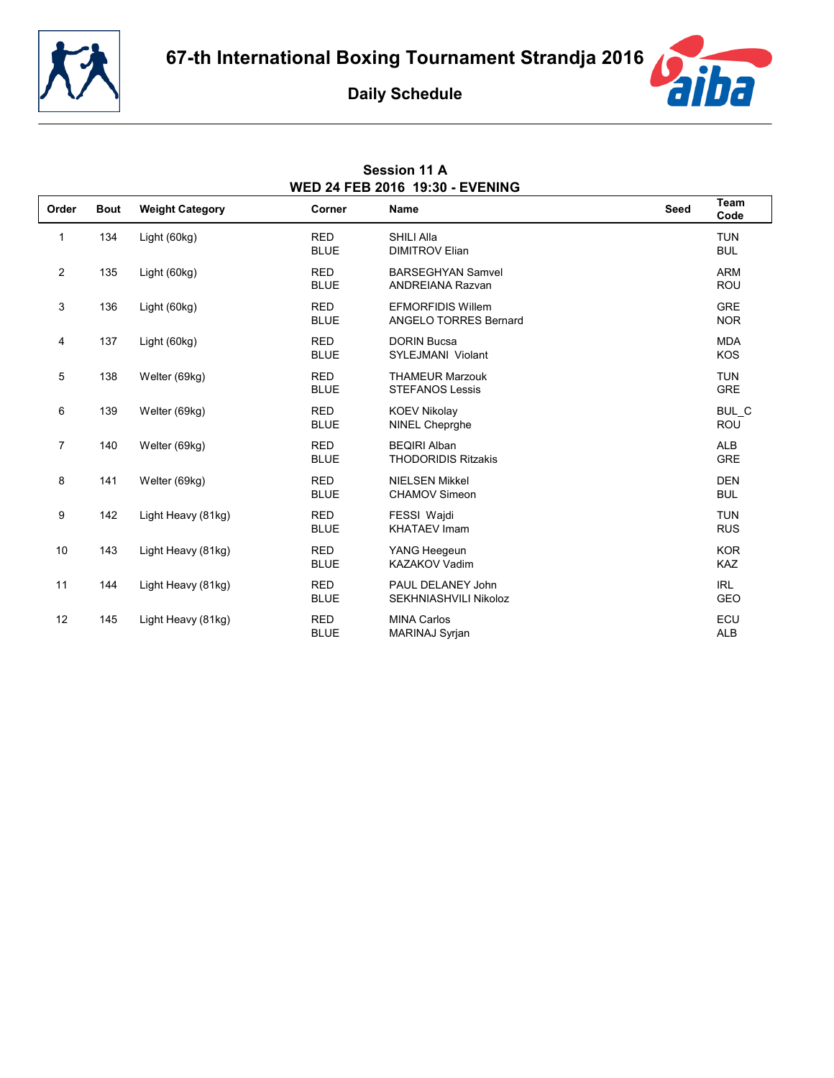

**Session 11 A**



| WED 24 FEB 2016 19:30 - EVENING |             |                        |                           |                                                          |             |                          |  |
|---------------------------------|-------------|------------------------|---------------------------|----------------------------------------------------------|-------------|--------------------------|--|
| Order                           | <b>Bout</b> | <b>Weight Category</b> | Corner                    | <b>Name</b>                                              | <b>Seed</b> | Team<br>Code             |  |
| $\mathbf{1}$                    | 134         | Light (60kg)           | <b>RED</b><br><b>BLUE</b> | SHILI Alla<br><b>DIMITROV Elian</b>                      |             | <b>TUN</b><br><b>BUL</b> |  |
| $\overline{2}$                  | 135         | Light (60kg)           | <b>RED</b><br><b>BLUE</b> | <b>BARSEGHYAN Samvel</b><br><b>ANDREIANA Razvan</b>      |             | <b>ARM</b><br><b>ROU</b> |  |
| 3                               | 136         | Light (60kg)           | <b>RED</b><br><b>BLUE</b> | <b>EFMORFIDIS Willem</b><br><b>ANGELO TORRES Bernard</b> |             | <b>GRE</b><br><b>NOR</b> |  |
| 4                               | 137         | Light (60kg)           | <b>RED</b><br><b>BLUE</b> | <b>DORIN Bucsa</b><br>SYLEJMANI Violant                  |             | <b>MDA</b><br><b>KOS</b> |  |
| 5                               | 138         | Welter (69kg)          | <b>RED</b><br><b>BLUE</b> | <b>THAMEUR Marzouk</b><br><b>STEFANOS Lessis</b>         |             | <b>TUN</b><br><b>GRE</b> |  |
| 6                               | 139         | Welter (69kg)          | <b>RED</b><br><b>BLUE</b> | <b>KOEV Nikolay</b><br><b>NINEL Cheprahe</b>             |             | BUL C<br>ROU             |  |
| $\overline{7}$                  | 140         | Welter (69kg)          | <b>RED</b><br><b>BLUE</b> | <b>BEQIRI Alban</b><br><b>THODORIDIS Ritzakis</b>        |             | <b>ALB</b><br><b>GRE</b> |  |
| 8                               | 141         | Welter (69kg)          | <b>RED</b><br><b>BLUE</b> | <b>NIELSEN Mikkel</b><br><b>CHAMOV Simeon</b>            |             | <b>DEN</b><br><b>BUL</b> |  |
| 9                               | 142         | Light Heavy (81kg)     | <b>RED</b><br><b>BLUE</b> | FESSI Wajdi<br><b>KHATAEV Imam</b>                       |             | <b>TUN</b><br><b>RUS</b> |  |
| 10                              | 143         | Light Heavy (81kg)     | <b>RED</b><br><b>BLUE</b> | YANG Heegeun<br><b>KAZAKOV Vadim</b>                     |             | <b>KOR</b><br><b>KAZ</b> |  |
| 11                              | 144         | Light Heavy (81kg)     | <b>RED</b><br><b>BLUE</b> | PAUL DELANEY John<br>SEKHNIASHVILI Nikoloz               |             | <b>IRL</b><br><b>GEO</b> |  |
| 12                              | 145         | Light Heavy (81kg)     | <b>RED</b><br><b>BLUE</b> | <b>MINA Carlos</b><br><b>MARINAJ Syrjan</b>              |             | ECU<br><b>ALB</b>        |  |